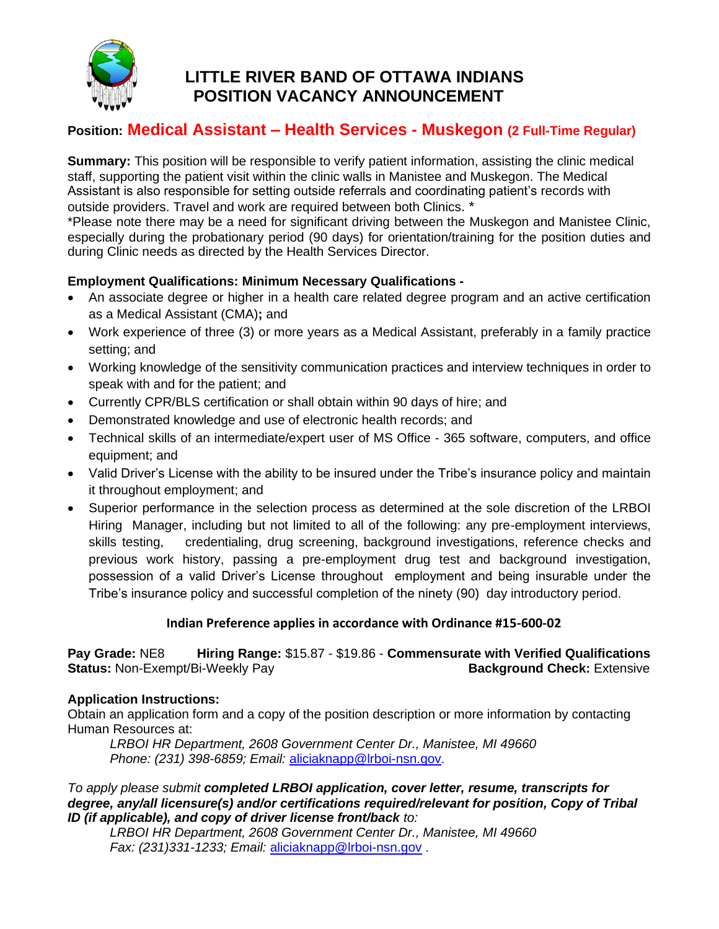

# **LITTLE RIVER BAND OF OTTAWA INDIANS POSITION VACANCY ANNOUNCEMENT**

## **Position: Medical Assistant – Health Services - Muskegon (2 Full-Time Regular)**

**Summary:** This position will be responsible to verify patient information, assisting the clinic medical staff, supporting the patient visit within the clinic walls in Manistee and Muskegon. The Medical Assistant is also responsible for setting outside referrals and coordinating patient's records with outside providers. Travel and work are required between both Clinics. \*

\*Please note there may be a need for significant driving between the Muskegon and Manistee Clinic, especially during the probationary period (90 days) for orientation/training for the position duties and during Clinic needs as directed by the Health Services Director.

### **Employment Qualifications: Minimum Necessary Qualifications -**

- An associate degree or higher in a health care related degree program and an active certification as a Medical Assistant (CMA)**;** and
- Work experience of three (3) or more years as a Medical Assistant, preferably in a family practice setting; and
- Working knowledge of the sensitivity communication practices and interview techniques in order to speak with and for the patient; and
- Currently CPR/BLS certification or shall obtain within 90 days of hire; and
- Demonstrated knowledge and use of electronic health records; and
- Technical skills of an intermediate/expert user of MS Office 365 software, computers, and office equipment; and
- Valid Driver's License with the ability to be insured under the Tribe's insurance policy and maintain it throughout employment; and
- Superior performance in the selection process as determined at the sole discretion of the LRBOI Hiring Manager, including but not limited to all of the following: any pre-employment interviews, skills testing, credentialing, drug screening, background investigations, reference checks and previous work history, passing a pre-employment drug test and background investigation, possession of a valid Driver's License throughout employment and being insurable under the Tribe's insurance policy and successful completion of the ninety (90) day introductory period.

#### **Indian Preference applies in accordance with Ordinance #15-600-02**

**Pay Grade:** NE8 **Hiring Range:** \$15.87 - \$19.86 - **Commensurate with Verified Qualifications Status:** Non-Exempt/Bi-Weekly Pay **Background Check:** Extensive

#### **Application Instructions:**

Obtain an application form and a copy of the position description or more information by contacting Human Resources at:

*LRBOI HR Department, 2608 Government Center Dr., Manistee, MI 49660 Phone: (231) 398-6859; Email:* [aliciaknapp@lrboi-nsn.gov.](mailto:aliciaknapp@lrboi-nsn.gov)

*To apply please submit completed LRBOI application, cover letter, resume, transcripts for degree, any/all licensure(s) and/or certifications required/relevant for position, Copy of Tribal ID (if applicable), and copy of driver license front/back to:*

*LRBOI HR Department, 2608 Government Center Dr., Manistee, MI 49660 Fax: (231)331-1233; Email:* [aliciaknapp@lrboi-nsn.gov](mailto:aliciaknapp@lrboi-nsn.gov) .